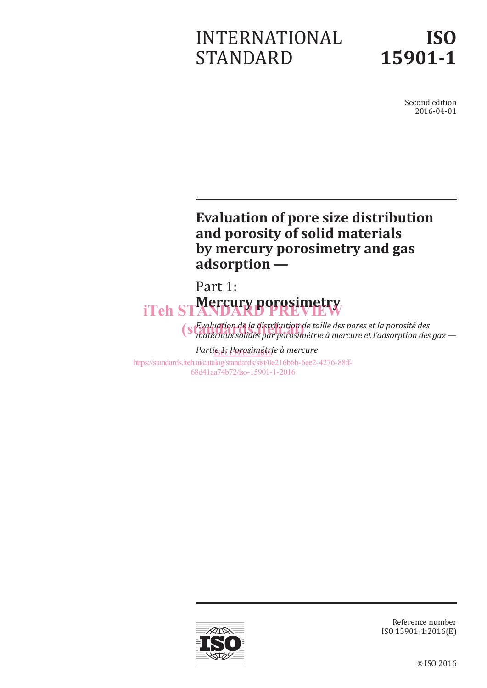# INTERNATIONAL STANDARD

Second edition 2016-04-01

# **Evaluation of pore size distribution and porosity of solid materials by mercury porosimetry and gas adsorption —**

Part 1: **Mercury porosimetry** iTeh STANDARD PREVIEW

**(S<sup>Evaluation de la distribution de taille des pores et la porosité des** *matériaux solidés par porosimétrie à mercure et l'adsorption des*</sup> *matériaux solides par porosimétrie à mercure et l'adsorption des gaz —*

Parti<u>e & Porosimétr</u>ie à mercure

https://standards.iteh.ai/catalog/standards/sist/0e216b6b-6ee2-4276-88ff-68d41aa74b72/iso-15901-1-2016



Reference number ISO 15901-1:2016(E)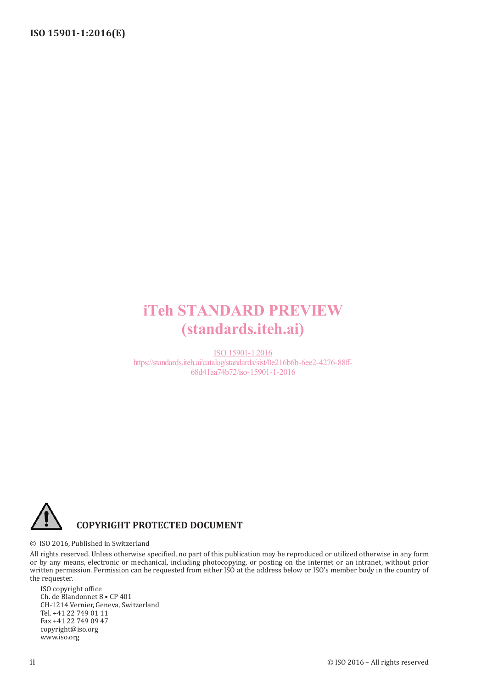# iTeh STANDARD PREVIEW (standards.iteh.ai)

ISO 15901-1:2016 https://standards.iteh.ai/catalog/standards/sist/0e216b6b-6ee2-4276-88ff-68d41aa74b72/iso-15901-1-2016



#### © ISO 2016, Published in Switzerland

All rights reserved. Unless otherwise specified, no part of this publication may be reproduced or utilized otherwise in any form or by any means, electronic or mechanical, including photocopying, or posting on the internet or an intranet, without prior written permission. Permission can be requested from either ISO at the address below or ISO's member body in the country of the requester.

ISO copyright office Ch. de Blandonnet 8 • CP 401 CH-1214 Vernier, Geneva, Switzerland Tel. +41 22 749 01 11 Fax +41 22 749 09 47 copyright@iso.org www.iso.org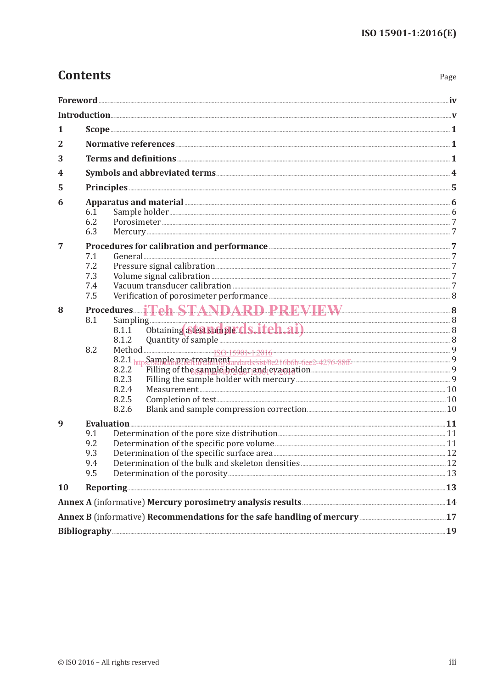Page

# **Contents**

| 1  |                                                                                                                                                                                                                                      |  |  |  |  |  |
|----|--------------------------------------------------------------------------------------------------------------------------------------------------------------------------------------------------------------------------------------|--|--|--|--|--|
| 2  |                                                                                                                                                                                                                                      |  |  |  |  |  |
|    |                                                                                                                                                                                                                                      |  |  |  |  |  |
| 3  |                                                                                                                                                                                                                                      |  |  |  |  |  |
| 4  |                                                                                                                                                                                                                                      |  |  |  |  |  |
| 5  | Principles <b>Executive Similar Executive Similar Executive Similar Executive Similar Executive Similar Similar Similar Similar Similar Similar Similar Similar Similar Similar Similar Similar Similar Similar Similar Similar </b> |  |  |  |  |  |
| 6  | Apparatus and material <b>Exercise Construction</b> 6                                                                                                                                                                                |  |  |  |  |  |
|    | 6.1                                                                                                                                                                                                                                  |  |  |  |  |  |
|    | 6.2<br>6.3                                                                                                                                                                                                                           |  |  |  |  |  |
|    |                                                                                                                                                                                                                                      |  |  |  |  |  |
| 7  | 7.1                                                                                                                                                                                                                                  |  |  |  |  |  |
|    | 7.2                                                                                                                                                                                                                                  |  |  |  |  |  |
|    | 7.3                                                                                                                                                                                                                                  |  |  |  |  |  |
|    | 7.4                                                                                                                                                                                                                                  |  |  |  |  |  |
|    | 7.5                                                                                                                                                                                                                                  |  |  |  |  |  |
| 8  | Procedures Teh STANDARD PREVIEW EW                                                                                                                                                                                                   |  |  |  |  |  |
|    | 8.1                                                                                                                                                                                                                                  |  |  |  |  |  |
|    | Sampling 8<br>8.1.1 Obtaining Stest Ban ple C s.iteh.ai)                                                                                                                                                                             |  |  |  |  |  |
|    | 8.1.2                                                                                                                                                                                                                                |  |  |  |  |  |
|    | 8.2                                                                                                                                                                                                                                  |  |  |  |  |  |
|    | 8.2.2                                                                                                                                                                                                                                |  |  |  |  |  |
|    | 8.2.3                                                                                                                                                                                                                                |  |  |  |  |  |
|    | 8.2.4                                                                                                                                                                                                                                |  |  |  |  |  |
|    | 8.2.5                                                                                                                                                                                                                                |  |  |  |  |  |
|    | 8.2.6                                                                                                                                                                                                                                |  |  |  |  |  |
| 9  | $Evaluate ion. 11$                                                                                                                                                                                                                   |  |  |  |  |  |
|    | 9.1                                                                                                                                                                                                                                  |  |  |  |  |  |
|    | 9.2                                                                                                                                                                                                                                  |  |  |  |  |  |
|    | 9.3                                                                                                                                                                                                                                  |  |  |  |  |  |
|    | 9.4                                                                                                                                                                                                                                  |  |  |  |  |  |
|    | 9.5                                                                                                                                                                                                                                  |  |  |  |  |  |
| 10 | Reporting 13                                                                                                                                                                                                                         |  |  |  |  |  |
|    | Annex A (informative) Mercury porosimetry analysis results <b>Manufact 2018</b> 14                                                                                                                                                   |  |  |  |  |  |
|    |                                                                                                                                                                                                                                      |  |  |  |  |  |
|    |                                                                                                                                                                                                                                      |  |  |  |  |  |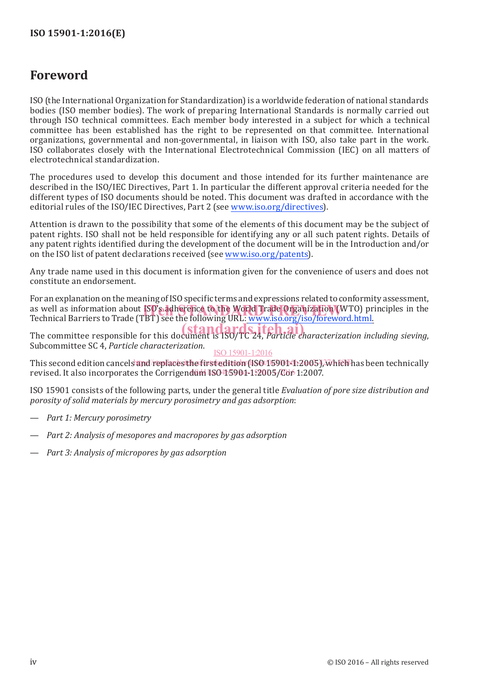## **Foreword**

ISO (the International Organization for Standardization) is a worldwide federation of national standards bodies (ISO member bodies). The work of preparing International Standards is normally carried out through ISO technical committees. Each member body interested in a subject for which a technical committee has been established has the right to be represented on that committee. International organizations, governmental and non-governmental, in liaison with ISO, also take part in the work. ISO collaborates closely with the International Electrotechnical Commission (IEC) on all matters of electrotechnical standardization.

The procedures used to develop this document and those intended for its further maintenance are described in the ISO/IEC Directives, Part 1. In particular the different approval criteria needed for the different types of ISO documents should be noted. This document was drafted in accordance with the editorial rules of the ISO/IEC Directives, Part 2 (see www.iso.org/directives).

Attention is drawn to the possibility that some of the elements of this document may be the subject of patent rights. ISO shall not be held responsible for identifying any or all such patent rights. Details of any patent rights identified during the development of the document will be in the Introduction and/or on the ISO list of patent declarations received (see www.iso.org/patents).

Any trade name used in this document is information given for the convenience of users and does not constitute an endorsement.

For an explanation on the meaning of ISO specific terms and expressions related to conformity assessment. as well as information about ISO's adherence to the World Trade Organization (WTO) principles in the Technical Barriers to Trade (TBT) see the following URL: www.iso.org/iso/foreword.html.

The committee responsible for this document is ISO/TC 24, Particle characterization including sieving, Subcommittee SC 4, Particle characterization. ISO 15901-1:2016

This second edition cancels and replaces the first edition (ISO 15901-4-2005) 2which has been technically revised. It also incorporates the Corrigendum ISO415901-152005/Cd6 1:2007.

ISO 15901 consists of the following parts, under the general title Evaluation of pore size distribution and porosity of solid materials by mercury porosimetry and aas adsorption:

- Part 1: Mercury porosimetry
- Part 2: Analysis of mesopores and macropores by aas adsorption
- Part 3: Analysis of micropores by gas adsorption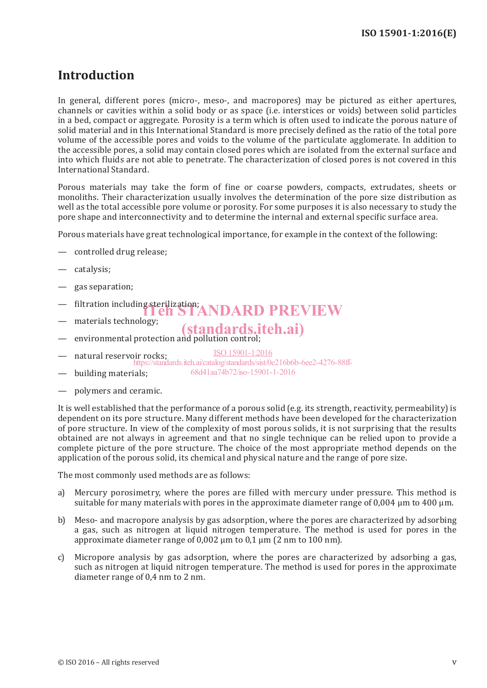## **Introduction**

In general, different pores (micro-, meso-, and macropores) may be pictured as either apertures, channels or cavities within a solid body or as space (i.e. interstices or voids) between solid particles in a bed, compact or aggregate. Porosity is a term which is often used to indicate the porous nature of solid material and in this International Standard is more precisely defined as the ratio of the total pore volume of the accessible pores and voids to the volume of the particulate agglomerate. In addition to the accessible pores, a solid may contain closed pores which are isolated from the external surface and into which fluids are not able to penetrate. The characterization of closed pores is not covered in this International Standard.

Porous materials may take the form of fine or coarse powders, compacts, extrudates, sheets or monoliths. Their characterization usually involves the determination of the pore size distribution as well as the total accessible pore volume or porosity. For some purposes it is also necessary to study the pore shape and interconnectivity and to determine the internal and external specific surface area.

Porous materials have great technological importance, for example in the context of the following:

- controlled drug release;
- catalysis;
- gas separation;
- filtration including sterilization;<br> **EREPREVIEW**
- materials technology;
- environmental protection and pollution control; (standards.iteh.ai)
- natural reservoir rocks;<br>https://standards.itab.ai/otabo/standards/sist/0e
- https://standards.iteh.ai/catalog/standards/sist/0e216b6b-6ee2-4276-88ff-68d41aa74b72/iso-15901-1-2016
- building materials;
- polymers and ceramic.

It is well established that the performance of a porous solid (e.g. its strength, reactivity, permeability) is dependent on its pore structure. Many different methods have been developed for the characterization of pore structure. In view of the complexity of most porous solids, it is not surprising that the results obtained are not always in agreement and that no single technique can be relied upon to provide a complete picture of the pore structure. The choice of the most appropriate method depends on the application of the porous solid, its chemical and physical nature and the range of pore size.

The most commonly used methods are as follows:

- a) Mercury porosimetry, where the pores are filled with mercury under pressure. This method is suitable for many materials with pores in the approximate diameter range of  $0.004 \mu m$  to  $400 \mu m$ .
- b) Meso- and macropore analysis by gas adsorption, where the pores are characterized by adsorbing a gas, such as nitrogen at liquid nitrogen temperature. The method is used for pores in the approximate diameter range of  $0.002 \mu m$  to  $0.1 \mu m$  (2 nm to 100 nm).
- c) Micropore analysis by gas adsorption, where the pores are characterized by adsorbing a gas, such as nitrogen at liquid nitrogen temperature. The method is used for pores in the approximate diameter range of 0,4 nm to 2 nm.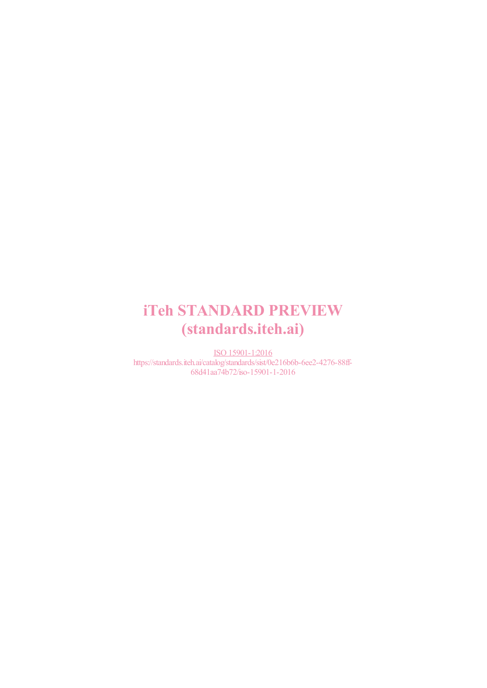# iTeh STANDARD PREVIEW (standards.iteh.ai)

ISO 15901-1:2016 https://standards.iteh.ai/catalog/standards/sist/0e216b6b-6ee2-4276-88ff-68d41aa74b72/iso-15901-1-2016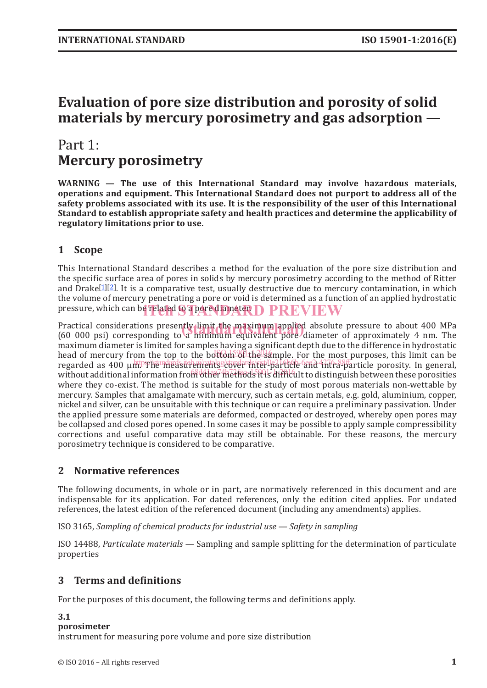## **Evaluation of pore size distribution and porosity of solid materials by mercury porosimetry and gas adsorption —**

# Part 1: **Mercury porosimetry**

**WARNING — The use of this International Standard may involve hazardous materials, operations and equipment. This International Standard does not purport to address all of the safety problems associated with its use. It is the responsibility of the user of this International Standard to establish appropriate safety and health practices and determine the applicability of regulatory limitations prior to use.**

## **1 Scope**

This International Standard describes a method for the evaluation of the pore size distribution and the specific surface area of pores in solids by mercury porosimetry according to the method of Ritter and Drake[1][2]. It is a comparative test, usually destructive due to mercury contamination, in which the volume of mercury penetrating a pore or void is determined as a function of an applied hydrostatic pressure, which can be related to a pore diameter.  ${\bf D}$   ${\bf P}\bf{R}\bf{E}\bf{V}\bf{I}\bf{E}\bf{W}$ 

Practical considerations presently limit the maximum applied absolute pressure to about 400 MPa<br>(60 000 psi) corresponding to a minimum equivalent pore diameter of approximately 4 nm. The (60 000 psi) corresponding to a minimum equivalent pore diameter of approximately 4 nm. The maximum diameter is limited for samples having a significant depth due to the difference in hydrostatic head of mercury from the top to the bottom of the sample. For the most purposes, this limit can be regarded as 400 µmp The measurements cover inter-particle and intra-particle porosity. In general, without additional information from other methods it is difficult to distinguish between these porosities where they co-exist. The method is suitable for the study of most porous materials non-wettable by mercury. Samples that amalgamate with mercury, such as certain metals, e.g. gold, aluminium, copper, nickel and silver, can be unsuitable with this technique or can require a preliminary passivation. Under the applied pressure some materials are deformed, compacted or destroyed, whereby open pores may be collapsed and closed pores opened. In some cases it may be possible to apply sample compressibility corrections and useful comparative data may still be obtainable. For these reasons, the mercury porosimetry technique is considered to be comparative.

### **2 Normative references**

The following documents, in whole or in part, are normatively referenced in this document and are indispensable for its application. For dated references, only the edition cited applies. For undated references, the latest edition of the referenced document (including any amendments) applies.

ISO 3165, *Sampling of chemical products for industrial use — Safety in sampling*

ISO 14488, *Particulate materials —* Sampling and sample splitting for the determination of particulate properties

## **3 Terms and definitions**

For the purposes of this document, the following terms and definitions apply.

```
3.1
```

```
porosimeter
```
instrument for measuring pore volume and pore size distribution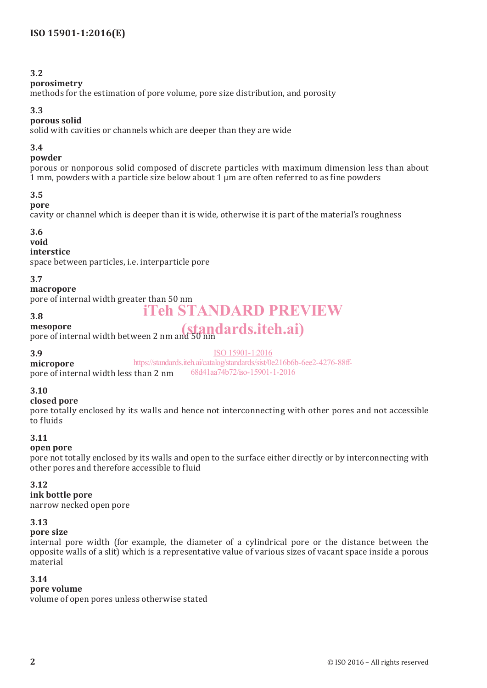#### **3.2**

#### **porosimetry**

methods for the estimation of pore volume, pore size distribution, and porosity

#### **3.3**

#### **porous solid**

solid with cavities or channels which are deeper than they are wide

#### **3.4**

#### **powder**

porous or nonporous solid composed of discrete particles with maximum dimension less than about 1 mm, powders with a particle size below about 1  $\mu$ m are often referred to as fine powders

#### **3.5**

#### **pore**

cavity or channel which is deeper than it is wide, otherwise it is part of the material's roughness

#### **3.6**

#### **void**

#### **interstice**

space between particles, i.e. interparticle pore

#### **3.7**

#### **macropore**

pore of internal width greater than 50 nm

## iTeh STANDARD PREVIEW

#### **3.8 mesopore**

# mesopore<br>pore of internal width between 2 nm and 50 nm<br>and 50 nm

#### **3.9**

**micropore** pore of internal width less than 2 nm ISO 15901-1:2016 https://standards.iteh.ai/catalog/standards/sist/0e216b6b-6ee2-4276-88ff-68d41aa74b72/iso-15901-1-2016

#### **3.10**

#### **closed pore**

pore totally enclosed by its walls and hence not interconnecting with other pores and not accessible to fluids

#### **3.11**

#### **open pore**

pore not totally enclosed by its walls and open to the surface either directly or by interconnecting with other pores and therefore accessible to fluid

#### **3.12**

#### **ink bottle pore**

narrow necked open pore

#### **3.13**

#### **pore size**

internal pore width (for example, the diameter of a cylindrical pore or the distance between the opposite walls of a slit) which is a representative value of various sizes of vacant space inside a porous material

#### **3.14**

#### **pore volume**

volume of open pores unless otherwise stated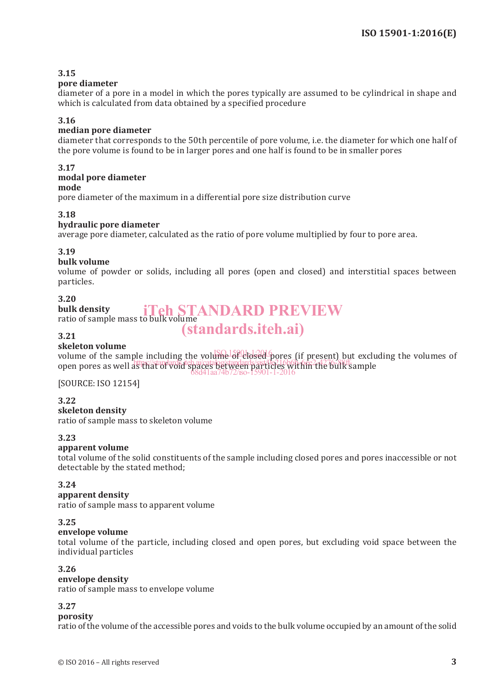### **3.15**

#### **pore diameter**

diameter of a pore in a model in which the pores typically are assumed to be cylindrical in shape and which is calculated from data obtained by a specified procedure

#### **3.16**

#### **median pore diameter**

diameter that corresponds to the 50th percentile of pore volume, i.e. the diameter for which one half of the pore volume is found to be in larger pores and one half is found to be in smaller pores

#### **3.17**

#### **modal pore diameter**

#### **mode**

pore diameter of the maximum in a differential pore size distribution curve

#### **3.18**

#### **hydraulic pore diameter**

average pore diameter, calculated as the ratio of pore volume multiplied by four to pore area.

#### **3.19**

#### **bulk volume**

volume of powder or solids, including all pores (open and closed) and interstitial spaces between particles.

#### **3.20**

#### **bulk density** ratio of sample mass to bulk volume iTeh STANDARD PREVIEW (standards.iteh.ai)

#### **3.21**

#### **skeleton volume**

volume of the sample including the volume  $\frac{1500 \text{ kg}}{10000 \text{ kg}}$  fores (if present) but excluding the volumes of open pores as well as that of void spaces between particles within the bulk sample 68d41aa74b72/iso-15901-1-2016

[SOURCE: ISO 12154]

#### **3.22**

#### **skeleton density**

ratio of sample mass to skeleton volume

#### **3.23**

#### **apparent volume**

total volume of the solid constituents of the sample including closed pores and pores inaccessible or not detectable by the stated method;

#### **3.24**

#### **apparent density**

ratio of sample mass to apparent volume

#### **3.25**

#### **envelope volume**

total volume of the particle, including closed and open pores, but excluding void space between the individual particles

#### **3.26**

#### **envelope density**

ratio of sample mass to envelope volume

#### **3.27**

**porosity**

ratio of the volume of the accessible pores and voids to the bulk volume occupied by an amount of the solid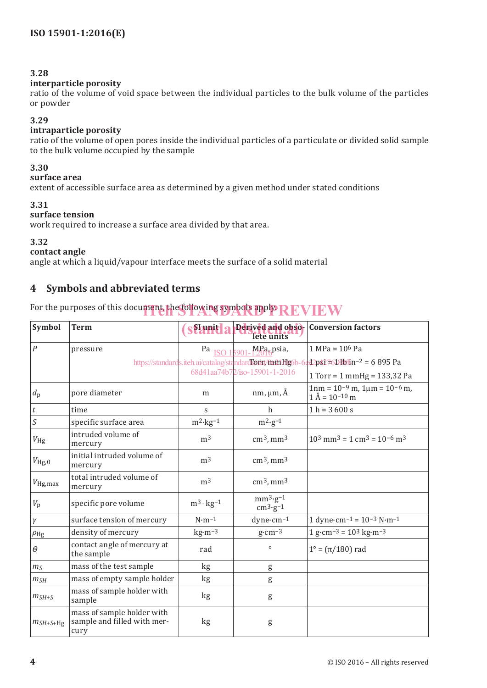#### **3.28**

#### **interparticle porosity**

ratio of the volume of void space between the individual particles to the bulk volume of the particles or powder

#### **3.29**

#### **intraparticle porosity**

ratio of the volume of open pores inside the individual particles of a particulate or divided solid sample to the bulk volume occupied by the sample

#### **3.30**

#### **surface area**

extent of accessible surface area as determined by a given method under stated conditions

#### **3.31**

#### **surface tension**

work required to increase a surface area divided by that area.

#### **3.32**

#### **contact angle**

angle at which a liquid/vapour interface meets the surface of a solid material

### **4 Symbols and abbreviated terms**

For the purposes of this document, the following symbols apply. REVIEW

| Symbol                     | <b>Term</b>                                                       |                         | Silunit a Derived and obso-<br>lete units                                                                                                                                                                                                                                                                                                                                                                                      | <b>Conversion factors</b>                                                                                      |
|----------------------------|-------------------------------------------------------------------|-------------------------|--------------------------------------------------------------------------------------------------------------------------------------------------------------------------------------------------------------------------------------------------------------------------------------------------------------------------------------------------------------------------------------------------------------------------------|----------------------------------------------------------------------------------------------------------------|
| $\overline{P}$             | pressure                                                          |                         | Pa $_{\text{ISO 15901}}$ -MPa <sub>6</sub> psia,                                                                                                                                                                                                                                                                                                                                                                               | $1 MPa = 106 Pa$                                                                                               |
|                            |                                                                   |                         |                                                                                                                                                                                                                                                                                                                                                                                                                                | https://standards.iteh.ai/catalog/standardkorist/0001Hg6b-6d2p\$17618bfin <sup>-2</sup> = 6 895 Pa             |
|                            |                                                                   |                         | 68d41aa74b72/iso-15901-1-2016                                                                                                                                                                                                                                                                                                                                                                                                  | $1 Torr = 1 mmHg = 133,32 Pa$                                                                                  |
| $d_{\rm p}$                | pore diameter                                                     | m                       | nm, $\mu$ m, $\AA$                                                                                                                                                                                                                                                                                                                                                                                                             | $1 \text{nm} = 10^{-9} \text{m}$ , $1 \mu \text{m} = 10^{-6} \text{m}$ ,<br>$1 \text{ Å} = 10^{-10} \text{ m}$ |
| $\boldsymbol{t}$           | time                                                              | S                       | h                                                                                                                                                                                                                                                                                                                                                                                                                              | $1 h = 3600 s$                                                                                                 |
| $\mathcal{S}$              | specific surface area                                             | $m^2$ ·kg <sup>-1</sup> | $m^2$ -g-1                                                                                                                                                                                                                                                                                                                                                                                                                     |                                                                                                                |
| $V_{\rm Hg}$               | intruded volume of<br>mercury                                     | m <sup>3</sup>          | $cm3$ , mm <sup>3</sup>                                                                                                                                                                                                                                                                                                                                                                                                        | $10^3$ mm <sup>3</sup> = 1 cm <sup>3</sup> = 10 <sup>-6</sup> m <sup>3</sup>                                   |
| $V_{\text{Hg},0}$          | initial intruded volume of<br>mercury                             | m <sup>3</sup>          | $cm3$ , mm <sup>3</sup>                                                                                                                                                                                                                                                                                                                                                                                                        |                                                                                                                |
| $V_{\text{Hg},\text{max}}$ | total intruded volume of<br>mercury                               | m <sup>3</sup>          | $\mathrm{cm}^3$ , mm $^3$                                                                                                                                                                                                                                                                                                                                                                                                      |                                                                                                                |
| $V_{\rm p}$                | specific pore volume                                              | $m^3 \cdot kg^{-1}$     | $mm3·g-1$<br>$cm3·g-1$                                                                                                                                                                                                                                                                                                                                                                                                         |                                                                                                                |
| $\gamma$                   | surface tension of mercury                                        | $N \cdot m^{-1}$        | $dyne$ -cm <sup>-1</sup>                                                                                                                                                                                                                                                                                                                                                                                                       | $1$ dyne $\cdot$ cm <sup>-1</sup> = $10^{-3}$ N $\cdot$ m <sup>-1</sup>                                        |
| $\rho$ Hg                  | density of mercury                                                | $kg·m-3$                | $g \cdot cm^{-3}$                                                                                                                                                                                                                                                                                                                                                                                                              | $1 g/cm^{-3} = 10^{3} kg·m^{-3}$                                                                               |
| $\theta$                   | contact angle of mercury at<br>the sample                         | rad                     | $\circ$                                                                                                                                                                                                                                                                                                                                                                                                                        | $1^{\circ} = (\pi/180)$ rad                                                                                    |
| m <sub>S</sub>             | mass of the test sample                                           | kg                      | g                                                                                                                                                                                                                                                                                                                                                                                                                              |                                                                                                                |
| $m_{SH}$                   | mass of empty sample holder                                       | kg                      | $\mathbf{g}% _{T}=\mathbf{g}_{T}=\mathbf{g}_{T}=\mathbf{g}_{T}=\mathbf{g}_{T}=\mathbf{g}_{T}=\mathbf{g}_{T}=\mathbf{g}_{T}=\mathbf{g}_{T}=\mathbf{g}_{T}=\mathbf{g}_{T}=\mathbf{g}_{T}=\mathbf{g}_{T}=\mathbf{g}_{T}=\mathbf{g}_{T}=\mathbf{g}_{T}=\mathbf{g}_{T}=\mathbf{g}_{T}=\mathbf{g}_{T}=\mathbf{g}_{T}=\mathbf{g}_{T}=\mathbf{g}_{T}=\mathbf{g}_{T}=\mathbf{g}_{T}=\mathbf{g}_{T}=\mathbf{g}_{T}=\mathbf{g}_{T}=\math$ |                                                                                                                |
| $m_{SH+S}$                 | mass of sample holder with<br>sample                              | kg                      | g                                                                                                                                                                                                                                                                                                                                                                                                                              |                                                                                                                |
| $m_{SH+S+Hg}$              | mass of sample holder with<br>sample and filled with mer-<br>cury | kg                      | g                                                                                                                                                                                                                                                                                                                                                                                                                              |                                                                                                                |